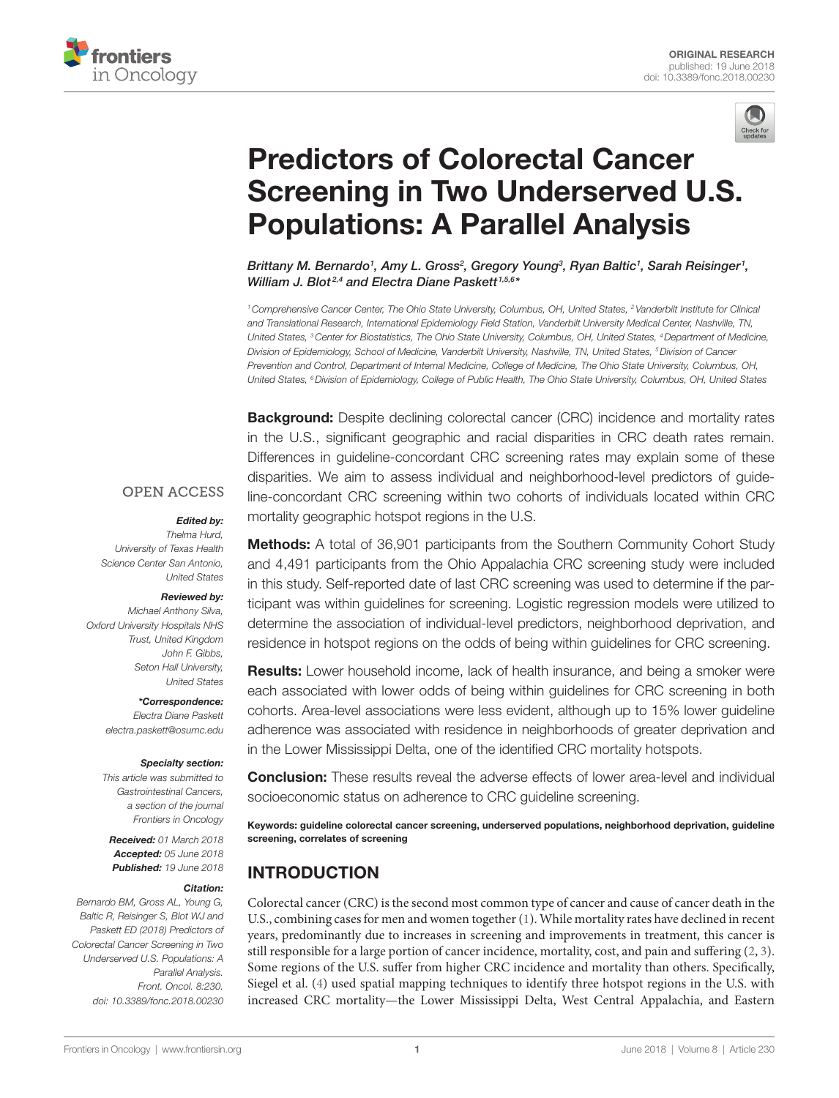



# **Predictors of Colorectal Cancer** Screening in Two Underserved U.S. **Populations: A Parallel Analysis**

Brittany M. Bernardo<sup>1</sup>, Amy L. Gross<sup>2</sup>, Gregory Young<sup>3</sup>, Ryan Baltic<sup>1</sup>, Sarah Reisinger<sup>1</sup>, *William J. Blot<sup>2,4</sup> and Electra Diane Paskett<sup>1,5,6\*</sup>* 

*1Comprehensive Cancer Center, The Ohio State University, Columbus, OH, United States, 2Vanderbilt Institute for Clinical and Translational Research, International Epidemiology Field Station, Vanderbilt University Medical Center, Nashville, TN, United States, <sup>3</sup> Center for Biostatistics, The Ohio State University, Columbus, OH, United States, <sup>4</sup> Department of Medicine, Division of Epidemiology, School of Medicine, Vanderbilt University, Nashville, TN, United States, 5Division of Cancer Prevention and Control, Department of Internal Medicine, College of Medicine, The Ohio State University, Columbus, OH, United States, 6Division of Epidemiology, College of Public Health, The Ohio State University, Columbus, OH, United States*

Background: Despite declining colorectal cancer (CRC) incidence and mortality rates in the U.S., significant geographic and racial disparities in CRC death rates remain. Differences in guideline-concordant CRC screening rates may explain some of these disparities. We aim to assess individual and neighborhood-level predictors of guideline-concordant CRC screening within two cohorts of individuals located within CRC mortality geographic hotspot regions in the U.S.

#### **OPEN ACCESS**

#### *Edited by:*

*Thelma Hurd, University of Texas Health Science Center San Antonio, United States*

#### *Reviewed by:*

*Michael Anthony Silva, Oxford University Hospitals NHS Trust, United Kingdom John F. Gibbs, Seton Hall University, United States*

> *\*Correspondence: Electra Diane Paskett [electra.paskett@osumc.edu](mailto:electra.paskett@osumc.edu)*

#### *Specialty section:*

*This article was submitted to Gastrointestinal Cancers, a section of the journal Frontiers in Oncology*

*Received: 01 March 2018 Accepted: 05 June 2018 Published: 19 June 2018*

#### *Citation:*

*Bernardo BM, Gross AL, Young G, Baltic R, Reisinger S, Blot WJ and Paskett ED (2018) Predictors of Colorectal Cancer Screening in Two Underserved U.S. Populations: A Parallel Analysis. Front. Oncol. 8:230. doi: [10.3389/fonc.2018.00230](https://doi.org/10.3389/fonc.2018.00230)*

**Methods:** A total of 36,901 participants from the Southern Community Cohort Study and 4,491 participants from the Ohio Appalachia CRC screening study were included in this study. Self-reported date of last CRC screening was used to determine if the participant was within guidelines for screening. Logistic regression models were utilized to determine the association of individual-level predictors, neighborhood deprivation, and residence in hotspot regions on the odds of being within guidelines for CRC screening.

Results: Lower household income, lack of health insurance, and being a smoker were each associated with lower odds of being within guidelines for CRC screening in both cohorts. Area-level associations were less evident, although up to 15% lower guideline adherence was associated with residence in neighborhoods of greater deprivation and in the Lower Mississippi Delta, one of the identified CRC mortality hotspots.

**Conclusion:** These results reveal the adverse effects of lower area-level and individual socioeconomic status on adherence to CRC guideline screening.

Keywords: guideline colorectal cancer screening, underserved populations, neighborhood deprivation, guideline screening, correlates of screening

### INTRODUCTION

Colorectal cancer (CRC) is the second most common type of cancer and cause of cancer death in the U.S., combining cases for men and women together [\(1\)](#page-6-0). While mortality rates have declined in recent years, predominantly due to increases in screening and improvements in treatment, this cancer is still responsible for a large portion of cancer incidence, mortality, cost, and pain and suffering  $(2, 3)$  $(2, 3)$  $(2, 3)$ . Some regions of the U.S. suffer from higher CRC incidence and mortality than others. Specifically, Siegel et al. ([4](#page-6-3)) used spatial mapping techniques to identify three hotspot regions in the U.S. with increased CRC mortality—the Lower Mississippi Delta, West Central Appalachia, and Eastern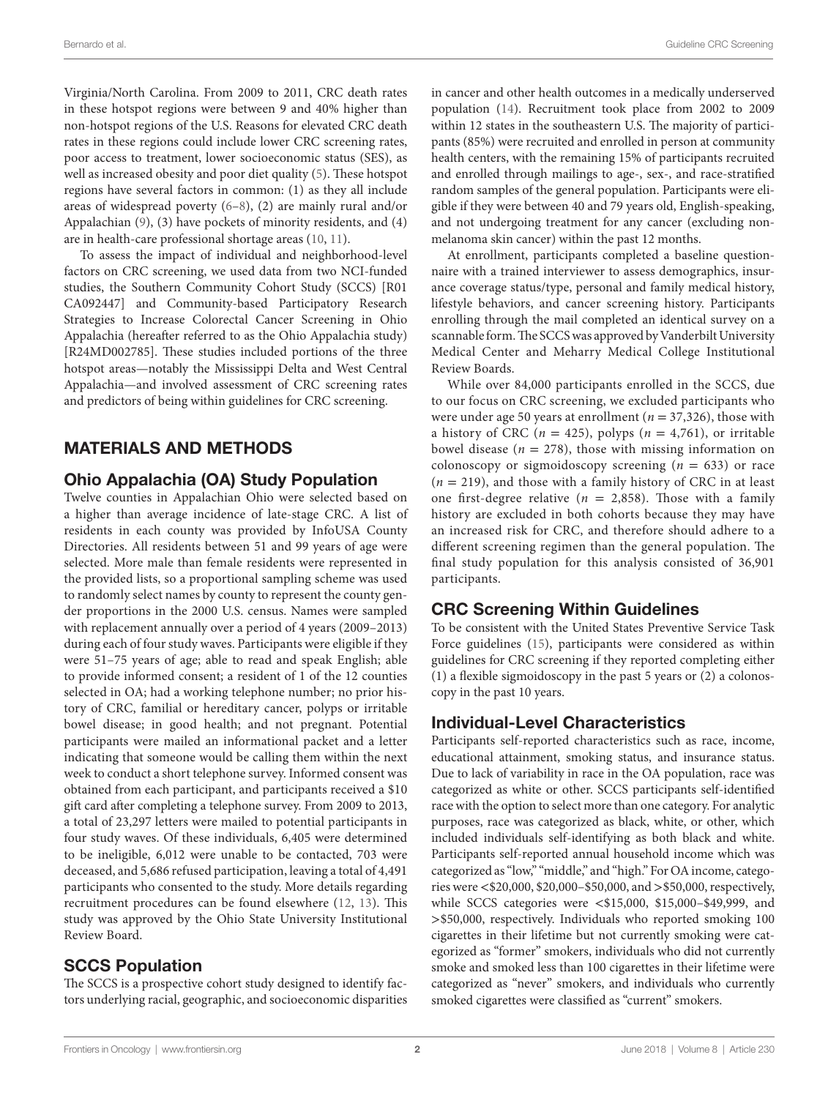Virginia/North Carolina. From 2009 to 2011, CRC death rates in these hotspot regions were between 9 and 40% higher than non-hotspot regions of the U.S. Reasons for elevated CRC death rates in these regions could include lower CRC screening rates, poor access to treatment, lower socioeconomic status (SES), as well as increased obesity and poor diet quality [\(5\)](#page-6-4). These hotspot regions have several factors in common: (1) as they all include areas of widespread poverty [\(6–](#page-6-5)[8](#page-6-6)), (2) are mainly rural and/or Appalachian ([9](#page-6-7)), (3) have pockets of minority residents, and (4) are in health-care professional shortage areas ([10,](#page-6-8) [11](#page-6-9)).

To assess the impact of individual and neighborhood-level factors on CRC screening, we used data from two NCI-funded studies, the Southern Community Cohort Study (SCCS) [R01 CA092447] and Community-based Participatory Research Strategies to Increase Colorectal Cancer Screening in Ohio Appalachia (hereafter referred to as the Ohio Appalachia study) [R24MD002785]. These studies included portions of the three hotspot areas—notably the Mississippi Delta and West Central Appalachia—and involved assessment of CRC screening rates and predictors of being within guidelines for CRC screening.

## MATERIALS AND METHODS

#### Ohio Appalachia (OA) Study Population

Twelve counties in Appalachian Ohio were selected based on a higher than average incidence of late-stage CRC. A list of residents in each county was provided by InfoUSA County Directories. All residents between 51 and 99 years of age were selected. More male than female residents were represented in the provided lists, so a proportional sampling scheme was used to randomly select names by county to represent the county gender proportions in the 2000 U.S. census. Names were sampled with replacement annually over a period of 4 years (2009–2013) during each of four study waves. Participants were eligible if they were 51–75 years of age; able to read and speak English; able to provide informed consent; a resident of 1 of the 12 counties selected in OA; had a working telephone number; no prior history of CRC, familial or hereditary cancer, polyps or irritable bowel disease; in good health; and not pregnant. Potential participants were mailed an informational packet and a letter indicating that someone would be calling them within the next week to conduct a short telephone survey. Informed consent was obtained from each participant, and participants received a \$10 gift card after completing a telephone survey. From 2009 to 2013, a total of 23,297 letters were mailed to potential participants in four study waves. Of these individuals, 6,405 were determined to be ineligible, 6,012 were unable to be contacted, 703 were deceased, and 5,686 refused participation, leaving a total of 4,491 participants who consented to the study. More details regarding recruitment procedures can be found elsewhere ([12](#page-6-10), [13](#page-6-11)). This study was approved by the Ohio State University Institutional Review Board.

#### SCCS Population

The SCCS is a prospective cohort study designed to identify factors underlying racial, geographic, and socioeconomic disparities in cancer and other health outcomes in a medically underserved population ([14\)](#page-6-12). Recruitment took place from 2002 to 2009 within 12 states in the southeastern U.S. The majority of participants (85%) were recruited and enrolled in person at community health centers, with the remaining 15% of participants recruited and enrolled through mailings to age-, sex-, and race-stratified random samples of the general population. Participants were eligible if they were between 40 and 79 years old, English-speaking, and not undergoing treatment for any cancer (excluding nonmelanoma skin cancer) within the past 12 months.

At enrollment, participants completed a baseline questionnaire with a trained interviewer to assess demographics, insurance coverage status/type, personal and family medical history, lifestyle behaviors, and cancer screening history. Participants enrolling through the mail completed an identical survey on a scannable form. The SCCS was approved by Vanderbilt University Medical Center and Meharry Medical College Institutional Review Boards.

While over 84,000 participants enrolled in the SCCS, due to our focus on CRC screening, we excluded participants who were under age 50 years at enrollment (*n* = 37,326), those with a history of CRC ( $n = 425$ ), polyps ( $n = 4,761$ ), or irritable bowel disease ( $n = 278$ ), those with missing information on colonoscopy or sigmoidoscopy screening (*n* = 633) or race  $(n = 219)$ , and those with a family history of CRC in at least one first-degree relative ( $n = 2,858$ ). Those with a family history are excluded in both cohorts because they may have an increased risk for CRC, and therefore should adhere to a different screening regimen than the general population. The final study population for this analysis consisted of 36,901 participants.

#### CRC Screening Within Guidelines

To be consistent with the United States Preventive Service Task Force guidelines ([15\)](#page-6-13), participants were considered as within guidelines for CRC screening if they reported completing either (1) a flexible sigmoidoscopy in the past 5 years or (2) a colonoscopy in the past 10 years.

#### Individual-Level Characteristics

Participants self-reported characteristics such as race, income, educational attainment, smoking status, and insurance status. Due to lack of variability in race in the OA population, race was categorized as white or other. SCCS participants self-identified race with the option to select more than one category. For analytic purposes, race was categorized as black, white, or other, which included individuals self-identifying as both black and white. Participants self-reported annual household income which was categorized as "low," "middle," and "high." For OA income, categories were <\$20,000, \$20,000–\$50,000, and >\$50,000, respectively, while SCCS categories were <\$15,000, \$15,000–\$49,999, and >\$50,000, respectively. Individuals who reported smoking 100 cigarettes in their lifetime but not currently smoking were categorized as "former" smokers, individuals who did not currently smoke and smoked less than 100 cigarettes in their lifetime were categorized as "never" smokers, and individuals who currently smoked cigarettes were classified as "current" smokers.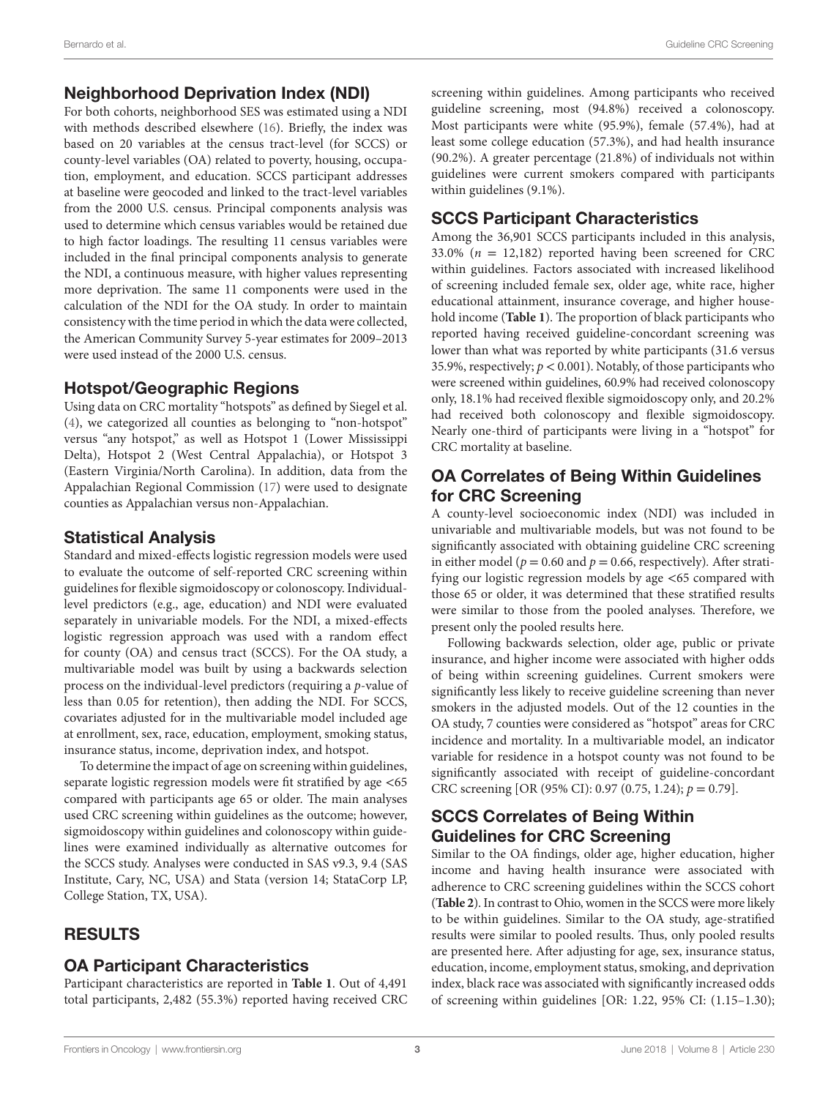### Neighborhood Deprivation Index (NDI)

For both cohorts, neighborhood SES was estimated using a NDI with methods described elsewhere ([16\)](#page-6-14). Briefly, the index was based on 20 variables at the census tract-level (for SCCS) or county-level variables (OA) related to poverty, housing, occupation, employment, and education. SCCS participant addresses at baseline were geocoded and linked to the tract-level variables from the 2000 U.S. census. Principal components analysis was used to determine which census variables would be retained due to high factor loadings. The resulting 11 census variables were included in the final principal components analysis to generate the NDI, a continuous measure, with higher values representing more deprivation. The same 11 components were used in the calculation of the NDI for the OA study. In order to maintain consistency with the time period in which the data were collected, the American Community Survey 5-year estimates for 2009–2013 were used instead of the 2000 U.S. census.

### Hotspot/Geographic Regions

Using data on CRC mortality "hotspots" as defined by Siegel et al. ([4](#page-6-3)), we categorized all counties as belonging to "non-hotspot" versus "any hotspot," as well as Hotspot 1 (Lower Mississippi Delta), Hotspot 2 (West Central Appalachia), or Hotspot 3 (Eastern Virginia/North Carolina). In addition, data from the Appalachian Regional Commission ([17\)](#page-6-15) were used to designate counties as Appalachian versus non-Appalachian.

### Statistical Analysis

Standard and mixed-effects logistic regression models were used to evaluate the outcome of self-reported CRC screening within guidelines for flexible sigmoidoscopy or colonoscopy. Individuallevel predictors (e.g., age, education) and NDI were evaluated separately in univariable models. For the NDI, a mixed-effects logistic regression approach was used with a random effect for county (OA) and census tract (SCCS). For the OA study, a multivariable model was built by using a backwards selection process on the individual-level predictors (requiring a *p*-value of less than 0.05 for retention), then adding the NDI. For SCCS, covariates adjusted for in the multivariable model included age at enrollment, sex, race, education, employment, smoking status, insurance status, income, deprivation index, and hotspot.

To determine the impact of age on screening within guidelines, separate logistic regression models were fit stratified by age <65 compared with participants age 65 or older. The main analyses used CRC screening within guidelines as the outcome; however, sigmoidoscopy within guidelines and colonoscopy within guidelines were examined individually as alternative outcomes for the SCCS study. Analyses were conducted in SAS v9.3, 9.4 (SAS Institute, Cary, NC, USA) and Stata (version 14; StataCorp LP, College Station, TX, USA).

# RESULTS

### OA Participant Characteristics

Participant characteristics are reported in **[Table 1](#page-3-0)**. Out of 4,491 total participants, 2,482 (55.3%) reported having received CRC screening within guidelines. Among participants who received guideline screening, most (94.8%) received a colonoscopy. Most participants were white (95.9%), female (57.4%), had at least some college education (57.3%), and had health insurance (90.2%). A greater percentage (21.8%) of individuals not within guidelines were current smokers compared with participants within guidelines (9.1%).

# SCCS Participant Characteristics

Among the 36,901 SCCS participants included in this analysis, 33.0% ( $n = 12,182$ ) reported having been screened for CRC within guidelines. Factors associated with increased likelihood of screening included female sex, older age, white race, higher educational attainment, insurance coverage, and higher household income (**[Table 1](#page-3-0)**). The proportion of black participants who reported having received guideline-concordant screening was lower than what was reported by white participants (31.6 versus 35.9%, respectively;  $p < 0.001$ ). Notably, of those participants who were screened within guidelines, 60.9% had received colonoscopy only, 18.1% had received flexible sigmoidoscopy only, and 20.2% had received both colonoscopy and flexible sigmoidoscopy. Nearly one-third of participants were living in a "hotspot" for CRC mortality at baseline.

## OA Correlates of Being Within Guidelines for CRC Screening

A county-level socioeconomic index (NDI) was included in univariable and multivariable models, but was not found to be significantly associated with obtaining guideline CRC screening in either model ( $p = 0.60$  and  $p = 0.66$ , respectively). After stratifying our logistic regression models by age <65 compared with those 65 or older, it was determined that these stratified results were similar to those from the pooled analyses. Therefore, we present only the pooled results here.

Following backwards selection, older age, public or private insurance, and higher income were associated with higher odds of being within screening guidelines. Current smokers were significantly less likely to receive guideline screening than never smokers in the adjusted models. Out of the 12 counties in the OA study, 7 counties were considered as "hotspot" areas for CRC incidence and mortality. In a multivariable model, an indicator variable for residence in a hotspot county was not found to be significantly associated with receipt of guideline-concordant CRC screening [OR (95% CI): 0.97 (0.75, 1.24); *p* = 0.79].

# SCCS Correlates of Being Within Guidelines for CRC Screening

Similar to the OA findings, older age, higher education, higher income and having health insurance were associated with adherence to CRC screening guidelines within the SCCS cohort (**[Table 2](#page-4-0)**). In contrast to Ohio, women in the SCCS were more likely to be within guidelines. Similar to the OA study, age-stratified results were similar to pooled results. Thus, only pooled results are presented here. After adjusting for age, sex, insurance status, education, income, employment status, smoking, and deprivation index, black race was associated with significantly increased odds of screening within guidelines [OR: 1.22, 95% CI: (1.15–1.30);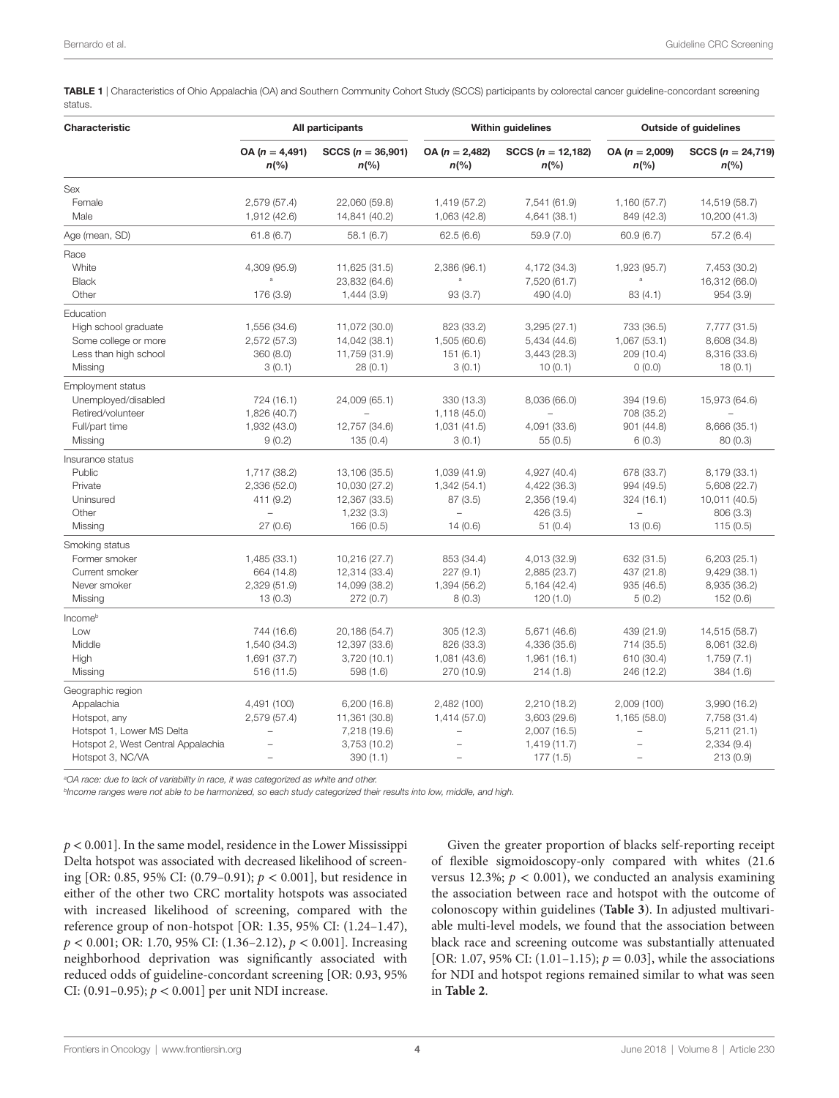<span id="page-3-0"></span>TABLE 1 | Characteristics of Ohio Appalachia (OA) and Southern Community Cohort Study (SCCS) participants by colorectal cancer guideline-concordant screening status.

| Characteristic                                                                                | All participants                                         |                                                                           | <b>Within guidelines</b>                                             |                                                                      | <b>Outside of guidelines</b>                            |                                                                        |
|-----------------------------------------------------------------------------------------------|----------------------------------------------------------|---------------------------------------------------------------------------|----------------------------------------------------------------------|----------------------------------------------------------------------|---------------------------------------------------------|------------------------------------------------------------------------|
|                                                                                               | $OA (n = 4,491)$<br>$n$ (%)                              | $SCCS (n = 36,901)$<br>$n\frac{6}{6}$                                     | $OA (n = 2,482)$<br>$n\frac{6}{6}$                                   | $SCCS (n = 12,182)$<br>$n\frac{6}{6}$                                | $OA (n = 2,009)$<br>$n\frac{6}{6}$                      | $SCCS (n = 24,719)$<br>$n\frac{6}{6}$                                  |
| Sex                                                                                           |                                                          |                                                                           |                                                                      |                                                                      |                                                         |                                                                        |
| Female<br>Male                                                                                | 2,579 (57.4)<br>1,912 (42.6)                             | 22,060 (59.8)<br>14,841 (40.2)                                            | 1,419 (57.2)<br>1,063 (42.8)                                         | 7,541 (61.9)<br>4,641 (38.1)                                         | 1,160 (57.7)<br>849 (42.3)                              | 14,519 (58.7)<br>10,200 (41.3)                                         |
| Age (mean, SD)                                                                                | 61.8(6.7)                                                | 58.1(6.7)                                                                 | 62.5(6.6)                                                            | 59.9(7.0)                                                            | 60.9(6.7)                                               | 57.2(6.4)                                                              |
| Race                                                                                          |                                                          |                                                                           |                                                                      |                                                                      |                                                         |                                                                        |
| White<br><b>Black</b><br>Other                                                                | 4,309 (95.9)<br>ă<br>176 (3.9)                           | 11,625 (31.5)<br>23,832 (64.6)<br>1,444(3.9)                              | 2,386 (96.1)<br>a<br>93(3.7)                                         | 4,172 (34.3)<br>7,520 (61.7)<br>490 (4.0)                            | 1,923 (95.7)<br>a<br>83(4.1)                            | 7,453 (30.2)<br>16,312 (66.0)<br>954 (3.9)                             |
| Education                                                                                     |                                                          |                                                                           |                                                                      |                                                                      |                                                         |                                                                        |
| High school graduate<br>Some college or more<br>Less than high school<br>Missing              | 1,556 (34.6)<br>2,572 (57.3)<br>360 (8.0)<br>3(0.1)      | 11,072 (30.0)<br>14,042 (38.1)<br>11,759 (31.9)<br>28(0.1)                | 823 (33.2)<br>1,505 (60.6)<br>151(6.1)<br>3(0.1)                     | 3,295(27.1)<br>5,434 (44.6)<br>3,443 (28.3)<br>10(0.1)               | 733 (36.5)<br>1,067 (53.1)<br>209 (10.4)<br>0(0.0)      | 7,777 (31.5)<br>8,608 (34.8)<br>8,316 (33.6)<br>18(0.1)                |
| <b>Employment status</b>                                                                      |                                                          |                                                                           |                                                                      |                                                                      |                                                         |                                                                        |
| Unemployed/disabled<br>Retired/volunteer<br>Full/part time                                    | 724 (16.1)<br>1,826 (40.7)<br>1,932 (43.0)               | 24,009 (65.1)<br>12,757 (34.6)                                            | 330 (13.3)<br>1,118 (45.0)<br>1,031(41.5)                            | 8,036 (66.0)<br>4,091 (33.6)                                         | 394 (19.6)<br>708 (35.2)<br>901 (44.8)                  | 15,973 (64.6)<br>8,666 (35.1)                                          |
| Missing                                                                                       | 9(0.2)                                                   | 135(0.4)                                                                  | 3(0.1)                                                               | 55(0.5)                                                              | 6(0.3)                                                  | 80(0.3)                                                                |
| Insurance status                                                                              |                                                          |                                                                           |                                                                      |                                                                      |                                                         |                                                                        |
| Public<br>Private<br>Uninsured<br>Other<br>Missing                                            | 1,717 (38.2)<br>2,336 (52.0)<br>411 (9.2)<br>27(0.6)     | 13,106 (35.5)<br>10,030 (27.2)<br>12,367 (33.5)<br>1,232(3.3)<br>166(0.5) | 1,039 (41.9)<br>1,342 (54.1)<br>87(3.5)<br>$\overline{a}$<br>14(0.6) | 4,927 (40.4)<br>4,422 (36.3)<br>2,356 (19.4)<br>426 (3.5)<br>51(0.4) | 678 (33.7)<br>994 (49.5)<br>324 (16.1)<br>L.<br>13(0.6) | 8,179 (33.1)<br>5,608 (22.7)<br>10,011 (40.5)<br>806 (3.3)<br>115(0.5) |
| Smoking status                                                                                |                                                          |                                                                           |                                                                      |                                                                      |                                                         |                                                                        |
| Former smoker<br>Current smoker<br>Never smoker<br>Missing                                    | 1,485 (33.1)<br>664 (14.8)<br>2,329 (51.9)<br>13(0.3)    | 10,216 (27.7)<br>12,314 (33.4)<br>14,099 (38.2)<br>272(0.7)               | 853 (34.4)<br>227 (9.1)<br>1,394 (56.2)<br>8(0.3)                    | 4,013 (32.9)<br>2,885 (23.7)<br>5,164(42.4)<br>120(1.0)              | 632 (31.5)<br>437 (21.8)<br>935 (46.5)<br>5(0.2)        | 6,203(25.1)<br>9,429(38.1)<br>8,935 (36.2)<br>152 (0.6)                |
| Income <sup>b</sup>                                                                           |                                                          |                                                                           |                                                                      |                                                                      |                                                         |                                                                        |
| Low<br>Middle<br>High<br>Missing                                                              | 744 (16.6)<br>1,540 (34.3)<br>1,691 (37.7)<br>516 (11.5) | 20,186 (54.7)<br>12,397 (33.6)<br>3,720(10.1)<br>598 (1.6)                | 305 (12.3)<br>826 (33.3)<br>1,081 (43.6)<br>270 (10.9)               | 5,671 (46.6)<br>4,336 (35.6)<br>1,961 (16.1)<br>214(1.8)             | 439 (21.9)<br>714 (35.5)<br>610 (30.4)<br>246 (12.2)    | 14,515 (58.7)<br>8,061 (32.6)<br>1,759(7.1)<br>384 (1.6)               |
| Geographic region                                                                             |                                                          |                                                                           |                                                                      |                                                                      |                                                         |                                                                        |
| Appalachia<br>Hotspot, any<br>Hotspot 1, Lower MS Delta<br>Hotspot 2, West Central Appalachia | 4,491 (100)<br>2,579 (57.4)<br>L.                        | 6,200(16.8)<br>11,361 (30.8)<br>7,218 (19.6)<br>3,753 (10.2)              | 2,482 (100)<br>1,414 (57.0)<br>$\overline{a}$                        | 2,210(18.2)<br>3,603(29.6)<br>2,007(16.5)<br>1,419(11.7)             | 2,009 (100)<br>1,165 (58.0)<br>$\overline{\phantom{0}}$ | 3,990 (16.2)<br>7,758 (31.4)<br>5,211(21.1)<br>2,334(9.4)              |
| Hotspot 3, NC/VA                                                                              | ÷,                                                       | 390(1.1)                                                                  | Ē,                                                                   | 177(1.5)                                                             | L.                                                      | 213 (0.9)                                                              |

*a OA race: due to lack of variability in race, it was categorized as white and other.*

*bIncome ranges were not able to be harmonized, so each study categorized their results into low, middle, and high.*

*p* < 0.001]. In the same model, residence in the Lower Mississippi Delta hotspot was associated with decreased likelihood of screening [OR: 0.85, 95% CI: (0.79–0.91); *p* < 0.001], but residence in either of the other two CRC mortality hotspots was associated with increased likelihood of screening, compared with the reference group of non-hotspot [OR: 1.35, 95% CI: (1.24–1.47), *p* < 0.001; OR: 1.70, 95% CI: (1.36–2.12), *p* < 0.001]. Increasing neighborhood deprivation was significantly associated with reduced odds of guideline-concordant screening [OR: 0.93, 95% CI: (0.91–0.95); *p* < 0.001] per unit NDI increase.

Given the greater proportion of blacks self-reporting receipt of flexible sigmoidoscopy-only compared with whites (21.6 versus 12.3%;  $p < 0.001$ ), we conducted an analysis examining the association between race and hotspot with the outcome of colonoscopy within guidelines (**[Table 3](#page-4-1)**). In adjusted multivariable multi-level models, we found that the association between black race and screening outcome was substantially attenuated [OR: 1.07, 95% CI:  $(1.01-1.15)$ ;  $p = 0.03$ ], while the associations for NDI and hotspot regions remained similar to what was seen in **[Table 2](#page-4-0)**.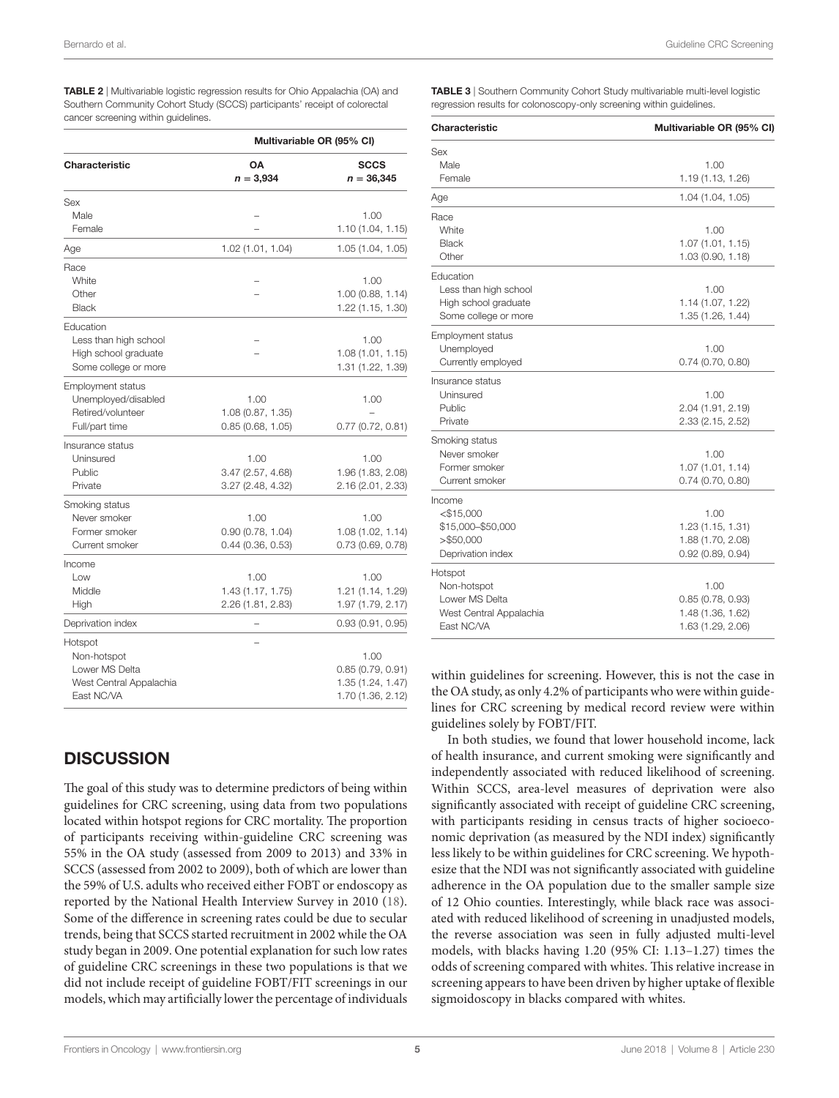<span id="page-4-0"></span>Table 2 | Multivariable logistic regression results for Ohio Appalachia (OA) and Southern Community Cohort Study (SCCS) participants' receipt of colorectal cancer screening within guidelines.

|                          | Multivariable OR (95% CI) |                             |  |  |  |
|--------------------------|---------------------------|-----------------------------|--|--|--|
| Characteristic           | OΑ<br>$n = 3,934$         | <b>SCCS</b><br>$n = 36,345$ |  |  |  |
| Sex                      |                           |                             |  |  |  |
| Male                     |                           | 1.00                        |  |  |  |
| Female                   |                           | 1.10 (1.04, 1.15)           |  |  |  |
| Age                      | 1.02 (1.01, 1.04)         | 1.05 (1.04, 1.05)           |  |  |  |
| Race                     |                           |                             |  |  |  |
| White                    |                           | 1.00                        |  |  |  |
| Other                    |                           | 1.00(0.88, 1.14)            |  |  |  |
| <b>Black</b>             |                           | 1.22 (1.15, 1.30)           |  |  |  |
| Education                |                           |                             |  |  |  |
| Less than high school    |                           | 1.00                        |  |  |  |
| High school graduate     |                           | 1.08(1.01, 1.15)            |  |  |  |
| Some college or more     |                           | 1.31 (1.22, 1.39)           |  |  |  |
| <b>Employment status</b> |                           |                             |  |  |  |
| Unemployed/disabled      | 1.00                      | 1.00                        |  |  |  |
| Retired/volunteer        | 1.08 (0.87, 1.35)         |                             |  |  |  |
| Full/part time           | 0.85(0.68, 1.05)          | 0.77(0.72, 0.81)            |  |  |  |
| Insurance status         |                           |                             |  |  |  |
| Uninsured                | 1.00                      | 1.00                        |  |  |  |
| Public                   | 3.47 (2.57, 4.68)         | 1.96 (1.83, 2.08)           |  |  |  |
| Private                  | 3.27 (2.48, 4.32)         | 2.16 (2.01, 2.33)           |  |  |  |
| Smoking status           |                           |                             |  |  |  |
| Never smoker             | 1.00                      | 1.00                        |  |  |  |
| Former smoker            | 0.90(0.78, 1.04)          | 1.08 (1.02, 1.14)           |  |  |  |
| Current smoker           | 0.44(0.36, 0.53)          | 0.73(0.69, 0.78)            |  |  |  |
| Income                   |                           |                             |  |  |  |
| Low                      | 1.00                      | 1.00                        |  |  |  |
| Middle                   | 1.43 (1.17, 1.75)         | 1.21 (1.14, 1.29)           |  |  |  |
| High                     | 2.26 (1.81, 2.83)         | 1.97 (1.79, 2.17)           |  |  |  |
| Deprivation index        |                           | 0.93(0.91, 0.95)            |  |  |  |
| Hotspot                  |                           |                             |  |  |  |
| Non-hotspot              |                           | 1.00                        |  |  |  |
| Lower MS Delta           |                           | 0.85(0.79, 0.91)            |  |  |  |
| West Central Appalachia  |                           | 1.35 (1.24, 1.47)           |  |  |  |
| East NC/VA               |                           | 1.70 (1.36, 2.12)           |  |  |  |
|                          |                           |                             |  |  |  |

# **DISCUSSION**

The goal of this study was to determine predictors of being within guidelines for CRC screening, using data from two populations located within hotspot regions for CRC mortality. The proportion of participants receiving within-guideline CRC screening was 55% in the OA study (assessed from 2009 to 2013) and 33% in SCCS (assessed from 2002 to 2009), both of which are lower than the 59% of U.S. adults who received either FOBT or endoscopy as reported by the National Health Interview Survey in 2010 ([18\)](#page-6-16). Some of the difference in screening rates could be due to secular trends, being that SCCS started recruitment in 2002 while the OA study began in 2009. One potential explanation for such low rates of guideline CRC screenings in these two populations is that we did not include receipt of guideline FOBT/FIT screenings in our models, which may artificially lower the percentage of individuals <span id="page-4-1"></span>TABLE 3 | Southern Community Cohort Study multivariable multi-level logistic regression results for colonoscopy-only screening within guidelines.

| Characteristic           | Multivariable OR (95% CI) |
|--------------------------|---------------------------|
| Sex                      |                           |
| Male                     | 1.00                      |
| Female                   | 1.19 (1.13, 1.26)         |
| Age                      | 1.04 (1.04, 1.05)         |
| Race                     |                           |
| White                    | 1.00                      |
| <b>Black</b>             | 1.07(1.01, 1.15)          |
| Other                    | 1.03 (0.90, 1.18)         |
| Education                |                           |
| Less than high school    | 1.00                      |
| High school graduate     | 1.14 (1.07, 1.22)         |
| Some college or more     | 1.35 (1.26, 1.44)         |
| <b>Employment status</b> |                           |
| Unemployed               | 1.00                      |
| Currently employed       | 0.74 (0.70, 0.80)         |
| Insurance status         |                           |
| Uninsured                | 1.00                      |
| Public                   | 2.04 (1.91, 2.19)         |
| Private                  | 2.33 (2.15, 2.52)         |
| Smoking status           |                           |
| Never smoker             | 1.00                      |
| Former smoker            | 1.07(1.01, 1.14)          |
| Current smoker           | 0.74(0.70, 0.80)          |
| Income                   |                           |
| $<$ \$15,000             | 1.00                      |
| \$15,000-\$50,000        | 1.23 (1.15, 1.31)         |
| > \$50,000               | 1.88 (1.70, 2.08)         |
| Deprivation index        | 0.92(0.89, 0.94)          |
| Hotspot                  |                           |
| Non-hotspot              | 1.00                      |
| Lower MS Delta           | 0.85(0.78, 0.93)          |
| West Central Appalachia  | 1.48 (1.36, 1.62)         |
| <b>East NC/VA</b>        | 1.63 (1.29, 2.06)         |

within guidelines for screening. However, this is not the case in the OA study, as only 4.2% of participants who were within guidelines for CRC screening by medical record review were within guidelines solely by FOBT/FIT.

In both studies, we found that lower household income, lack of health insurance, and current smoking were significantly and independently associated with reduced likelihood of screening. Within SCCS, area-level measures of deprivation were also significantly associated with receipt of guideline CRC screening, with participants residing in census tracts of higher socioeconomic deprivation (as measured by the NDI index) significantly less likely to be within guidelines for CRC screening. We hypothesize that the NDI was not significantly associated with guideline adherence in the OA population due to the smaller sample size of 12 Ohio counties. Interestingly, while black race was associated with reduced likelihood of screening in unadjusted models, the reverse association was seen in fully adjusted multi-level models, with blacks having 1.20 (95% CI: 1.13–1.27) times the odds of screening compared with whites. This relative increase in screening appears to have been driven by higher uptake of flexible sigmoidoscopy in blacks compared with whites.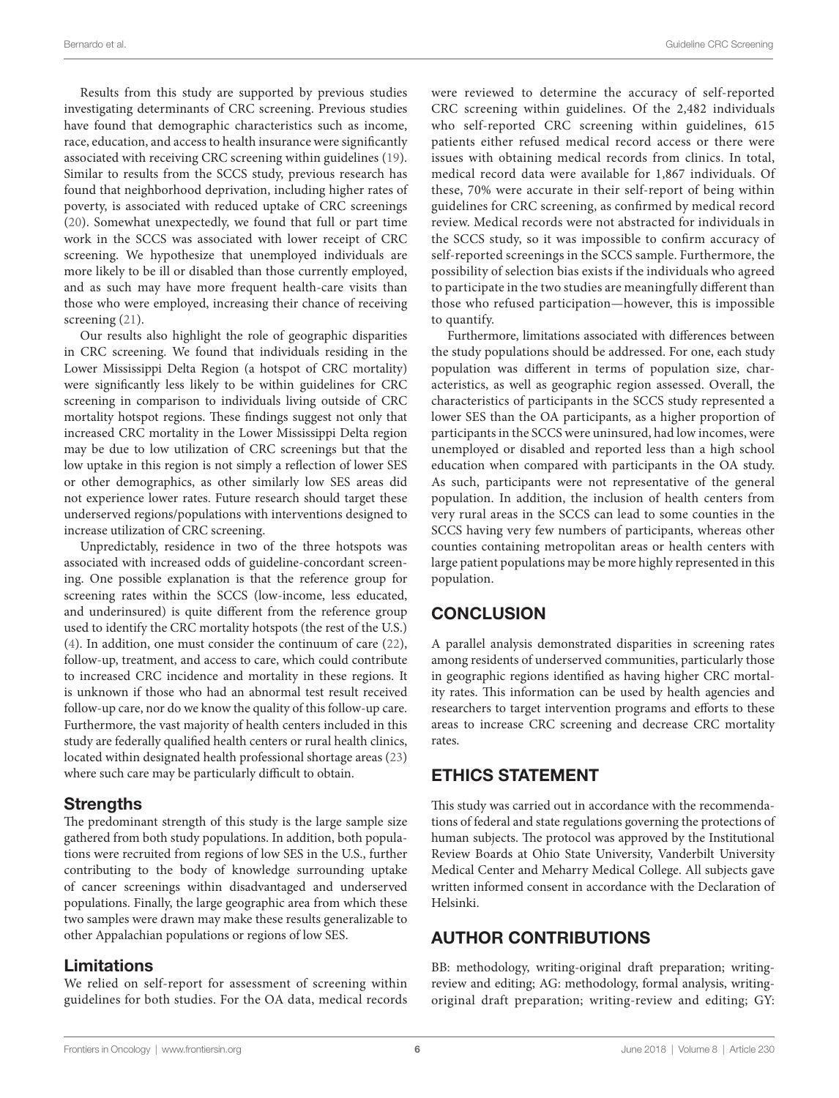Results from this study are supported by previous studies investigating determinants of CRC screening. Previous studies have found that demographic characteristics such as income, race, education, and access to health insurance were significantly associated with receiving CRC screening within guidelines [\(19\)](#page-6-17). Similar to results from the SCCS study, previous research has found that neighborhood deprivation, including higher rates of poverty, is associated with reduced uptake of CRC screenings ([20\)](#page-6-18). Somewhat unexpectedly, we found that full or part time work in the SCCS was associated with lower receipt of CRC screening. We hypothesize that unemployed individuals are more likely to be ill or disabled than those currently employed, and as such may have more frequent health-care visits than those who were employed, increasing their chance of receiving screening ([21\)](#page-6-19).

Our results also highlight the role of geographic disparities in CRC screening. We found that individuals residing in the Lower Mississippi Delta Region (a hotspot of CRC mortality) were significantly less likely to be within guidelines for CRC screening in comparison to individuals living outside of CRC mortality hotspot regions. These findings suggest not only that increased CRC mortality in the Lower Mississippi Delta region may be due to low utilization of CRC screenings but that the low uptake in this region is not simply a reflection of lower SES or other demographics, as other similarly low SES areas did not experience lower rates. Future research should target these underserved regions/populations with interventions designed to increase utilization of CRC screening.

Unpredictably, residence in two of the three hotspots was associated with increased odds of guideline-concordant screening. One possible explanation is that the reference group for screening rates within the SCCS (low-income, less educated, and underinsured) is quite different from the reference group used to identify the CRC mortality hotspots (the rest of the U.S.) ([4](#page-6-3)). In addition, one must consider the continuum of care ([22\)](#page-6-20), follow-up, treatment, and access to care, which could contribute to increased CRC incidence and mortality in these regions. It is unknown if those who had an abnormal test result received follow-up care, nor do we know the quality of this follow-up care. Furthermore, the vast majority of health centers included in this study are federally qualified health centers or rural health clinics, located within designated health professional shortage areas ([23\)](#page-6-21) where such care may be particularly difficult to obtain.

#### **Strengths**

The predominant strength of this study is the large sample size gathered from both study populations. In addition, both populations were recruited from regions of low SES in the U.S., further contributing to the body of knowledge surrounding uptake of cancer screenings within disadvantaged and underserved populations. Finally, the large geographic area from which these two samples were drawn may make these results generalizable to other Appalachian populations or regions of low SES.

#### Limitations

We relied on self-report for assessment of screening within guidelines for both studies. For the OA data, medical records

were reviewed to determine the accuracy of self-reported CRC screening within guidelines. Of the 2,482 individuals who self-reported CRC screening within guidelines, 615 patients either refused medical record access or there were issues with obtaining medical records from clinics. In total, medical record data were available for 1,867 individuals. Of these, 70% were accurate in their self-report of being within guidelines for CRC screening, as confirmed by medical record review. Medical records were not abstracted for individuals in the SCCS study, so it was impossible to confirm accuracy of self-reported screenings in the SCCS sample. Furthermore, the possibility of selection bias exists if the individuals who agreed to participate in the two studies are meaningfully different than those who refused participation—however, this is impossible to quantify.

Furthermore, limitations associated with differences between the study populations should be addressed. For one, each study population was different in terms of population size, characteristics, as well as geographic region assessed. Overall, the characteristics of participants in the SCCS study represented a lower SES than the OA participants, as a higher proportion of participants in the SCCS were uninsured, had low incomes, were unemployed or disabled and reported less than a high school education when compared with participants in the OA study. As such, participants were not representative of the general population. In addition, the inclusion of health centers from very rural areas in the SCCS can lead to some counties in the SCCS having very few numbers of participants, whereas other counties containing metropolitan areas or health centers with large patient populations may be more highly represented in this population.

# **CONCLUSION**

A parallel analysis demonstrated disparities in screening rates among residents of underserved communities, particularly those in geographic regions identified as having higher CRC mortality rates. This information can be used by health agencies and researchers to target intervention programs and efforts to these areas to increase CRC screening and decrease CRC mortality rates.

### ETHICS STATEMENT

This study was carried out in accordance with the recommendations of federal and state regulations governing the protections of human subjects. The protocol was approved by the Institutional Review Boards at Ohio State University, Vanderbilt University Medical Center and Meharry Medical College. All subjects gave written informed consent in accordance with the Declaration of Helsinki.

# AUTHOR CONTRIBUTIONS

BB: methodology, writing-original draft preparation; writingreview and editing; AG: methodology, formal analysis, writingoriginal draft preparation; writing-review and editing; GY: